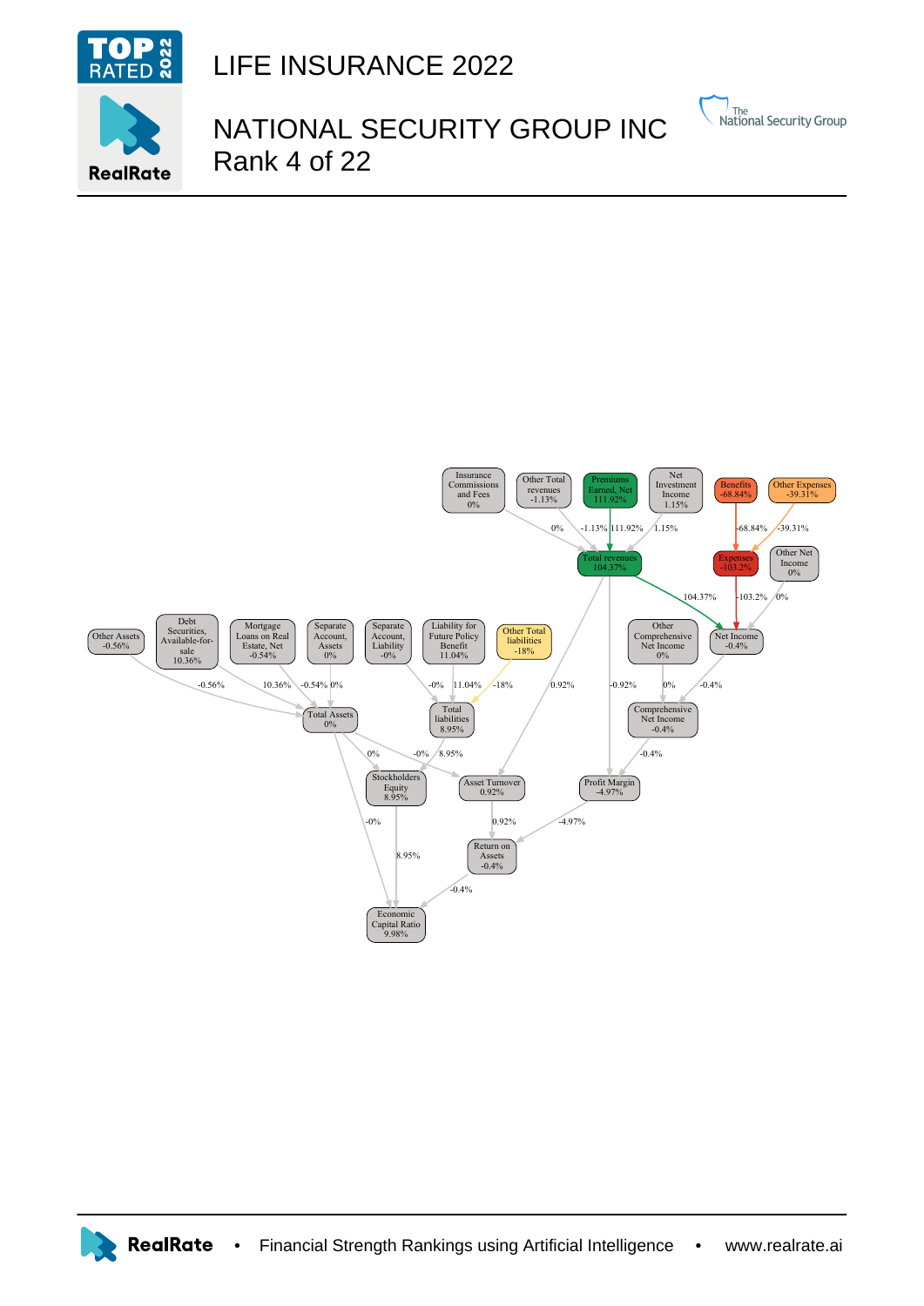

## LIFE INSURANCE 2022

## NATIONAL SECURITY GROUP INC Rank 4 of 22